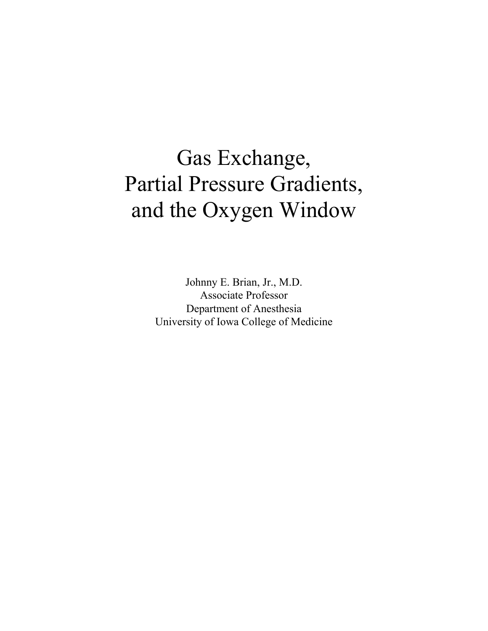# Gas Exchange, Partial Pressure Gradients, and the Oxygen Window

Johnny E. Brian, Jr., M.D. Associate Professor Department of Anesthesia University of Iowa College of Medicine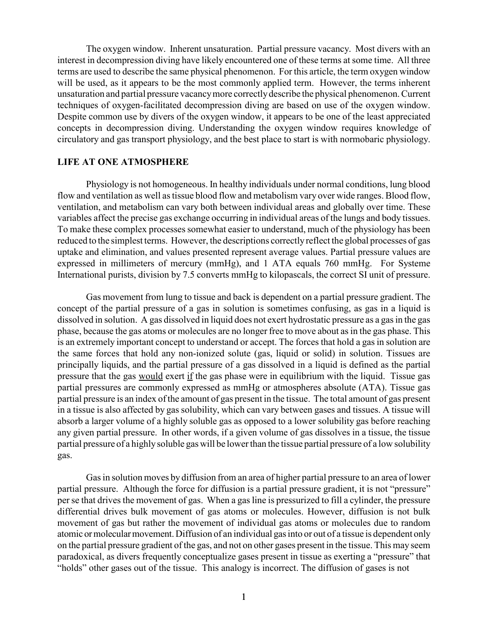The oxygen window. Inherent unsaturation. Partial pressure vacancy. Most divers with an interest in decompression diving have likely encountered one of these terms at some time. All three terms are used to describe the same physical phenomenon. For this article, the term oxygen window will be used, as it appears to be the most commonly applied term. However, the terms inherent unsaturation and partial pressure vacancy more correctly describe the physical phenomenon. Current techniques of oxygen-facilitated decompression diving are based on use of the oxygen window. Despite common use by divers of the oxygen window, it appears to be one of the least appreciated concepts in decompression diving. Understanding the oxygen window requires knowledge of circulatory and gas transport physiology, and the best place to start is with normobaric physiology.

### **LIFE AT ONE ATMOSPHERE**

Physiology is not homogeneous. In healthy individuals under normal conditions, lung blood flow and ventilation as well as tissue blood flow and metabolism vary over wide ranges. Blood flow, ventilation, and metabolism can vary both between individual areas and globally over time. These variables affect the precise gas exchange occurring in individual areas of the lungs and body tissues. To make these complex processes somewhat easier to understand, much of the physiology has been reduced to the simplest terms. However, the descriptions correctly reflect the global processes of gas uptake and elimination, and values presented represent average values. Partial pressure values are expressed in millimeters of mercury (mmHg), and 1 ATA equals 760 mmHg. For Systeme International purists, division by 7.5 converts mmHg to kilopascals, the correct SI unit of pressure.

Gas movement from lung to tissue and back is dependent on a partial pressure gradient. The concept of the partial pressure of a gas in solution is sometimes confusing, as gas in a liquid is dissolved in solution. A gas dissolved in liquid does not exert hydrostatic pressure as a gas in the gas phase, because the gas atoms or molecules are no longer free to move about as in the gas phase. This is an extremely important concept to understand or accept. The forces that hold a gas in solution are the same forces that hold any non-ionized solute (gas, liquid or solid) in solution. Tissues are principally liquids, and the partial pressure of a gas dissolved in a liquid is defined as the partial pressure that the gas would exert if the gas phase were in equilibrium with the liquid. Tissue gas partial pressures are commonly expressed as mmHg or atmospheres absolute (ATA). Tissue gas partial pressure is an index of the amount of gas present in the tissue. The total amount of gas present in a tissue is also affected by gas solubility, which can vary between gases and tissues. A tissue will absorb a larger volume of a highly soluble gas as opposed to a lower solubility gas before reaching any given partial pressure. In other words, if a given volume of gas dissolves in a tissue, the tissue partial pressure of a highly soluble gas will be lower than the tissue partial pressure of a low solubility gas.

Gas in solution moves by diffusion from an area of higher partial pressure to an area of lower partial pressure. Although the force for diffusion is a partial pressure gradient, it is not "pressure" per se that drives the movement of gas. When a gas line is pressurized to fill a cylinder, the pressure differential drives bulk movement of gas atoms or molecules. However, diffusion is not bulk movement of gas but rather the movement of individual gas atoms or molecules due to random atomic or molecular movement. Diffusion of an individual gas into or out of a tissue is dependent only on the partial pressure gradient of the gas, and not on other gases present in the tissue. This may seem paradoxical, as divers frequently conceptualize gases present in tissue as exerting a "pressure" that "holds" other gases out of the tissue. This analogy is incorrect. The diffusion of gases is not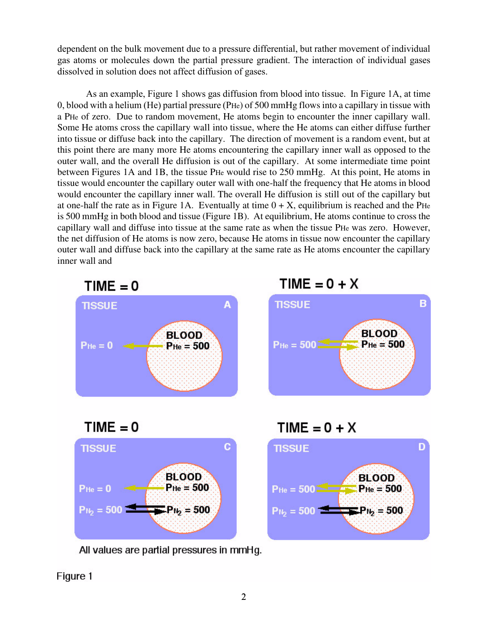dependent on the bulk movement due to a pressure differential, but rather movement of individual gas atoms or molecules down the partial pressure gradient. The interaction of individual gases dissolved in solution does not affect diffusion of gases.

As an example, Figure 1 shows gas diffusion from blood into tissue. In Figure 1A, at time 0, blood with a helium (He) partial pressure (PHe) of 500 mmHg flows into a capillary in tissue with a PHe of zero. Due to random movement, He atoms begin to encounter the inner capillary wall. Some He atoms cross the capillary wall into tissue, where the He atoms can either diffuse further into tissue or diffuse back into the capillary. The direction of movement is a random event, but at this point there are many more He atoms encountering the capillary inner wall as opposed to the outer wall, and the overall He diffusion is out of the capillary. At some intermediate time point between Figures 1A and 1B, the tissue PHe would rise to 250 mmHg. At this point, He atoms in tissue would encounter the capillary outer wall with one-half the frequency that He atoms in blood would encounter the capillary inner wall. The overall He diffusion is still out of the capillary but at one-half the rate as in Figure 1A. Eventually at time  $0 + X$ , equilibrium is reached and the PHe is 500 mmHg in both blood and tissue (Figure 1B). At equilibrium, He atoms continue to cross the capillary wall and diffuse into tissue at the same rate as when the tissue PHe was zero. However, the net diffusion of He atoms is now zero, because He atoms in tissue now encounter the capillary outer wall and diffuse back into the capillary at the same rate as He atoms encounter the capillary inner wall and







 $TIME = 0$ 



All values are partial pressures in mmHg.

 $TIME = 0 + X$ 



Figure 1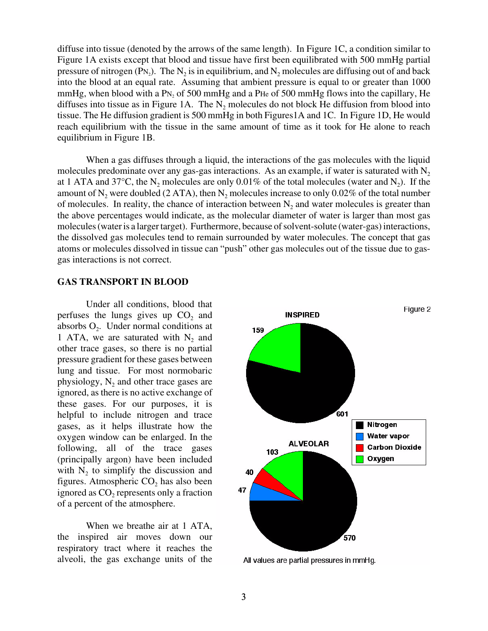diffuse into tissue (denoted by the arrows of the same length). In Figure 1C, a condition similar to Figure 1A exists except that blood and tissue have first been equilibrated with 500 mmHg partial pressure of nitrogen (PN<sub>2</sub>). The N<sub>2</sub> is in equilibrium, and N<sub>2</sub> molecules are diffusing out of and back into the blood at an equal rate. Assuming that ambient pressure is equal to or greater than 1000 mmHg, when blood with a PN<sub>2</sub> of 500 mmHg and a PHe of 500 mmHg flows into the capillary, He diffuses into tissue as in Figure 1A. The  $N_2$  molecules do not block He diffusion from blood into tissue. The He diffusion gradient is 500 mmHg in both Figures1A and 1C. In Figure 1D, He would reach equilibrium with the tissue in the same amount of time as it took for He alone to reach equilibrium in Figure 1B.

When a gas diffuses through a liquid, the interactions of the gas molecules with the liquid molecules predominate over any gas-gas interactions. As an example, if water is saturated with  $N<sub>2</sub>$ at 1 ATA and 37°C, the  $N_2$  molecules are only 0.01% of the total molecules (water and  $N_2$ ). If the amount of  $N_2$  were doubled (2 ATA), then  $N_2$  molecules increase to only 0.02% of the total number of molecules. In reality, the chance of interaction between  $N_2$  and water molecules is greater than the above percentages would indicate, as the molecular diameter of water is larger than most gas molecules (water is a larger target). Furthermore, because of solvent-solute (water-gas) interactions, the dissolved gas molecules tend to remain surrounded by water molecules. The concept that gas atoms or molecules dissolved in tissue can "push" other gas molecules out of the tissue due to gasgas interactions is not correct.

#### **GAS TRANSPORT IN BLOOD**

Under all conditions, blood that perfuses the lungs gives up  $CO<sub>2</sub>$  and absorbs  $O<sub>2</sub>$ . Under normal conditions at 1 ATA, we are saturated with  $N_2$  and other trace gases, so there is no partial pressure gradient for these gases between lung and tissue. For most normobaric physiology,  $N_2$  and other trace gases are ignored, as there is no active exchange of these gases. For our purposes, it is helpful to include nitrogen and trace gases, as it helps illustrate how the oxygen window can be enlarged. In the following, all of the trace gases (principally argon) have been included with  $N_2$  to simplify the discussion and figures. Atmospheric  $CO<sub>2</sub>$  has also been ignored as CO<sub>2</sub> represents only a fraction of a percent of the atmosphere.

When we breathe air at 1 ATA, the inspired air moves down our respiratory tract where it reaches the alveoli, the gas exchange units of the



All values are partial pressures in mmHg.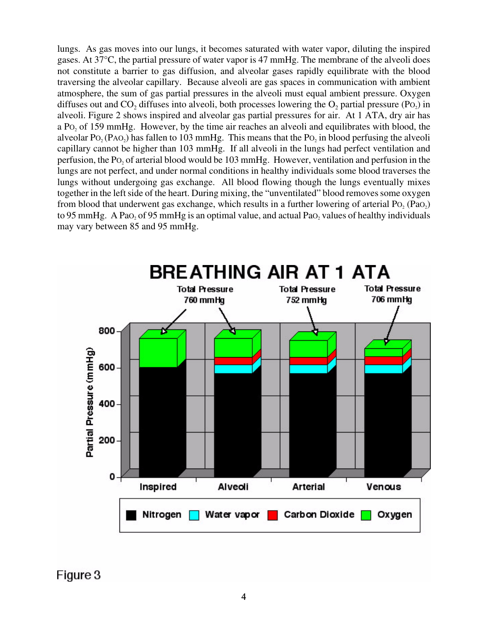lungs. As gas moves into our lungs, it becomes saturated with water vapor, diluting the inspired gases. At 37°C, the partial pressure of water vapor is 47 mmHg. The membrane of the alveoli does not constitute a barrier to gas diffusion, and alveolar gases rapidly equilibrate with the blood traversing the alveolar capillary. Because alveoli are gas spaces in communication with ambient atmosphere, the sum of gas partial pressures in the alveoli must equal ambient pressure. Oxygen diffuses out and  $CO<sub>2</sub>$  diffuses into alveoli, both processes lowering the  $O<sub>2</sub>$  partial pressure (Po<sub>2</sub>) in alveoli. Figure 2 shows inspired and alveolar gas partial pressures for air. At 1 ATA, dry air has a Po<sub>2</sub> of 159 mmHg. However, by the time air reaches an alveoli and equilibrates with blood, the alveolar  $P_0$ ,  $(P_{AO_2})$  has fallen to 103 mmHg. This means that the  $P_0$ , in blood perfusing the alveoli capillary cannot be higher than 103 mmHg. If all alveoli in the lungs had perfect ventilation and perfusion, the PO2 of arterial blood would be 103 mmHg. However, ventilation and perfusion in the lungs are not perfect, and under normal conditions in healthy individuals some blood traverses the lungs without undergoing gas exchange. All blood flowing though the lungs eventually mixes together in the left side of the heart. During mixing, the "unventilated" blood removes some oxygen from blood that underwent gas exchange, which results in a further lowering of arterial  $P_0$ ,  $(P_{40}$ ) to 95 mmHg. A PaO, of 95 mmHg is an optimal value, and actual PaO, values of healthy individuals may vary between 85 and 95 mmHg.



Figure 3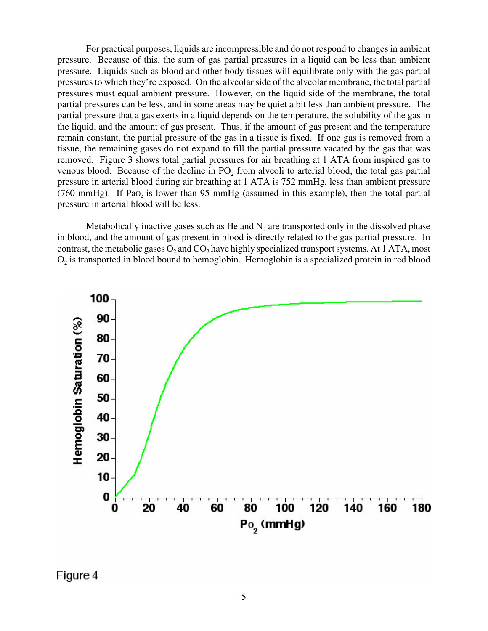For practical purposes, liquids are incompressible and do not respond to changes in ambient pressure. Because of this, the sum of gas partial pressures in a liquid can be less than ambient pressure. Liquids such as blood and other body tissues will equilibrate only with the gas partial pressures to which they're exposed. On the alveolar side of the alveolar membrane, the total partial pressures must equal ambient pressure. However, on the liquid side of the membrane, the total partial pressures can be less, and in some areas may be quiet a bit less than ambient pressure. The partial pressure that a gas exerts in a liquid depends on the temperature, the solubility of the gas in the liquid, and the amount of gas present. Thus, if the amount of gas present and the temperature remain constant, the partial pressure of the gas in a tissue is fixed. If one gas is removed from a tissue, the remaining gases do not expand to fill the partial pressure vacated by the gas that was removed. Figure 3 shows total partial pressures for air breathing at 1 ATA from inspired gas to venous blood. Because of the decline in PO<sub>2</sub> from alveoli to arterial blood, the total gas partial pressure in arterial blood during air breathing at 1 ATA is 752 mmHg, less than ambient pressure  $(760 \text{ mmHg})$ . If Pao<sub>2</sub> is lower than 95 mmHg (assumed in this example), then the total partial pressure in arterial blood will be less.

Metabolically inactive gases such as He and  $N_2$  are transported only in the dissolved phase in blood, and the amount of gas present in blood is directly related to the gas partial pressure. In contrast, the metabolic gases  $O_2$  and  $CO_2$  have highly specialized transport systems. At 1 ATA, most  $O<sub>2</sub>$  is transported in blood bound to hemoglobin. Hemoglobin is a specialized protein in red blood



Figure 4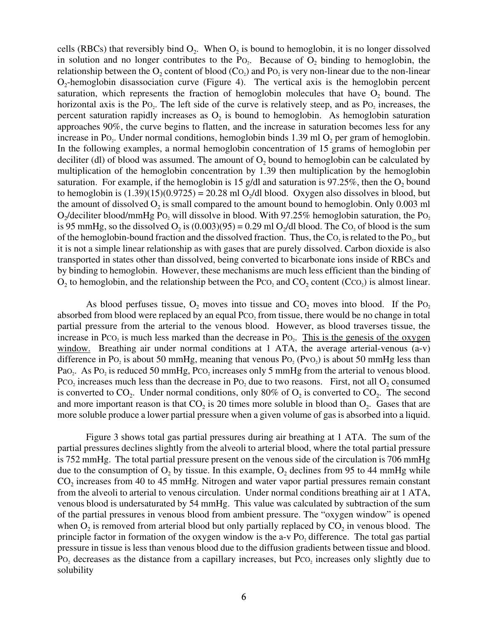cells (RBCs) that reversibly bind  $O<sub>2</sub>$ . When  $O<sub>2</sub>$  is bound to hemoglobin, it is no longer dissolved in solution and no longer contributes to the Po<sub>2</sub>. Because of  $O_2$  binding to hemoglobin, the relationship between the  $O_2$  content of blood (Co<sub>2</sub>) and Po<sub>2</sub> is very non-linear due to the non-linear  $O_2$ -hemoglobin disassociation curve (Figure 4). The vertical axis is the hemoglobin percent saturation, which represents the fraction of hemoglobin molecules that have  $O_2$  bound. The horizontal axis is the  $Po_2$ . The left side of the curve is relatively steep, and as  $Po_2$  increases, the percent saturation rapidly increases as  $O<sub>2</sub>$  is bound to hemoglobin. As hemoglobin saturation approaches 90%, the curve begins to flatten, and the increase in saturation becomes less for any increase in Po<sub>2</sub>. Under normal conditions, hemoglobin binds 1.39 ml  $O_2$  per gram of hemoglobin. In the following examples, a normal hemoglobin concentration of 15 grams of hemoglobin per deciliter (dl) of blood was assumed. The amount of  $O<sub>2</sub>$  bound to hemoglobin can be calculated by multiplication of the hemoglobin concentration by 1.39 then multiplication by the hemoglobin saturation. For example, if the hemoglobin is 15 g/dl and saturation is 97.25%, then the  $O_2$  bound to hemoglobin is  $(1.39)(15)(0.9725) = 20.28$  ml O<sub>2</sub>/dl blood. Oxygen also dissolves in blood, but the amount of dissolved  $O_2$  is small compared to the amount bound to hemoglobin. Only 0.003 ml  $O_2$ /deciliter blood/mmHg Po<sub>2</sub> will dissolve in blood. With 97.25% hemoglobin saturation, the Po<sub>2</sub> is 95 mmHg, so the dissolved  $O_2$  is  $(0.003)(95) = 0.29$  ml  $O_2$ /dl blood. The C $O_2$  of blood is the sum of the hemoglobin-bound fraction and the dissolved fraction. Thus, the  $\text{Co}_2$  is related to the Po<sub>2</sub>, but it is not a simple linear relationship as with gases that are purely dissolved. Carbon dioxide is also transported in states other than dissolved, being converted to bicarbonate ions inside of RBCs and by binding to hemoglobin. However, these mechanisms are much less efficient than the binding of  $O_2$  to hemoglobin, and the relationship between the Pc $O_2$  and  $CO_2$  content (CcO<sub>2</sub>) is almost linear.

As blood perfuses tissue,  $O_2$  moves into tissue and  $CO_2$  moves into blood. If the P $O_2$ absorbed from blood were replaced by an equal  $PCO<sub>2</sub>$  from tissue, there would be no change in total partial pressure from the arterial to the venous blood. However, as blood traverses tissue, the increase in Pco<sub>2</sub> is much less marked than the decrease in Po $\alpha$ . This is the genesis of the oxygen window. Breathing air under normal conditions at 1 ATA, the average arterial-venous (a-v) difference in Po<sub>2</sub> is about 50 mmHg, meaning that venous Po<sub>2</sub> (Pvo<sub>2</sub>) is about 50 mmHg less than PaO<sub>2</sub>. As PO<sub>2</sub> is reduced 50 mmHg, PCO<sub>2</sub> increases only 5 mmHg from the arterial to venous blood. PcO<sub>2</sub> increases much less than the decrease in PO<sub>2</sub> due to two reasons. First, not all  $O_2$  consumed is converted to  $CO_2$ . Under normal conditions, only 80% of  $O_2$  is converted to  $CO_2$ . The second and more important reason is that  $CO_2$  is 20 times more soluble in blood than  $O_2$ . Gases that are more soluble produce a lower partial pressure when a given volume of gas is absorbed into a liquid.

Figure 3 shows total gas partial pressures during air breathing at 1 ATA. The sum of the partial pressures declines slightly from the alveoli to arterial blood, where the total partial pressure is 752 mmHg. The total partial pressure present on the venous side of the circulation is 706 mmHg due to the consumption of  $O_2$  by tissue. In this example,  $O_2$  declines from 95 to 44 mmHg while  $CO<sub>2</sub>$  increases from 40 to 45 mmHg. Nitrogen and water vapor partial pressures remain constant from the alveoli to arterial to venous circulation. Under normal conditions breathing air at 1 ATA, venous blood is undersaturated by 54 mmHg. This value was calculated by subtraction of the sum of the partial pressures in venous blood from ambient pressure. The "oxygen window" is opened when  $O_2$  is removed from arterial blood but only partially replaced by  $CO_2$  in venous blood. The principle factor in formation of the oxygen window is the a-v  $P_0$  difference. The total gas partial pressure in tissue is less than venous blood due to the diffusion gradients between tissue and blood. PO<sub>2</sub> decreases as the distance from a capillary increases, but PcO<sub>2</sub> increases only slightly due to solubility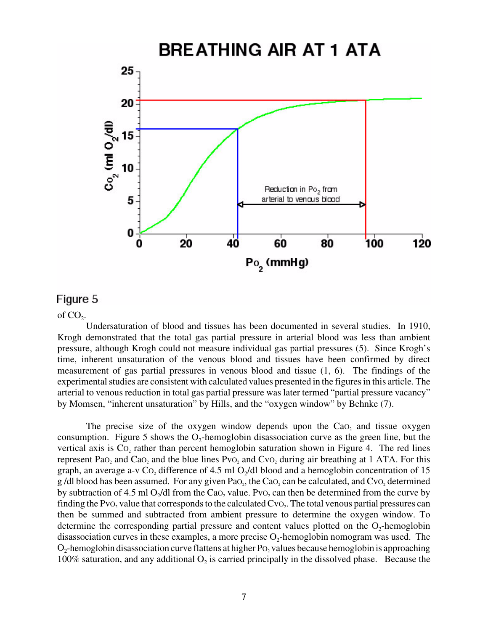

### Figure 5

of  $CO<sub>2</sub>$ .

Undersaturation of blood and tissues has been documented in several studies. In 1910, Krogh demonstrated that the total gas partial pressure in arterial blood was less than ambient pressure, although Krogh could not measure individual gas partial pressures (5). Since Krogh's time, inherent unsaturation of the venous blood and tissues have been confirmed by direct measurement of gas partial pressures in venous blood and tissue (1, 6). The findings of the experimental studies are consistent with calculated values presented in the figures in this article. The arterial to venous reduction in total gas partial pressure was later termed "partial pressure vacancy" by Momsen, "inherent unsaturation" by Hills, and the "oxygen window" by Behnke (7).

The precise size of the oxygen window depends upon the Cao, and tissue oxygen consumption. Figure 5 shows the  $O_2$ -hemoglobin disassociation curve as the green line, but the vertical axis is Co<sub>2</sub> rather than percent hemoglobin saturation shown in Figure 4. The red lines represent Pa $O_2$  and Ca $O_2$  and the blue lines Pv $O_2$  and Cv $O_2$  during air breathing at 1 ATA. For this graph, an average a-v Co<sub>2</sub> difference of 4.5 ml O<sub>2</sub>/dl blood and a hemoglobin concentration of 15 g /dl blood has been assumed. For any given Pa $O_2$ , the Ca $O_2$  can be calculated, and Cv $O_2$  determined by subtraction of 4.5 ml  $O<sub>2</sub>/dl$  from the Cao, value. Pvo, can then be determined from the curve by finding the PvO<sub>2</sub> value that corresponds to the calculated  $Cv_{\text{O}_2}$ . The total venous partial pressures can then be summed and subtracted from ambient pressure to determine the oxygen window. To determine the corresponding partial pressure and content values plotted on the  $O_2$ -hemoglobin disassociation curves in these examples, a more precise  $O_2$ -hemoglobin nomogram was used. The  $O_2$ -hemoglobin disassociation curve flattens at higher P $O_2$  values because hemoglobin is approaching 100% saturation, and any additional  $O_2$  is carried principally in the dissolved phase. Because the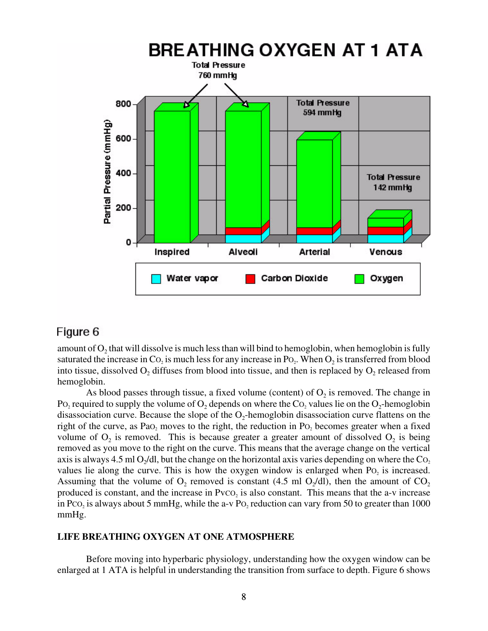

## Figure 6

amount of  $O_2$  that will dissolve is much less than will bind to hemoglobin, when hemoglobin is fully saturated the increase in  $Co_2$  is much less for any increase in  $Po_2$ . When  $O_2$  is transferred from blood into tissue, dissolved  $O_2$  diffuses from blood into tissue, and then is replaced by  $O_2$  released from hemoglobin.

As blood passes through tissue, a fixed volume (content) of  $O_2$  is removed. The change in PO<sub>2</sub> required to supply the volume of  $O_2$  depends on where the CO<sub>2</sub> values lie on the O<sub>2</sub>-hemoglobin disassociation curve. Because the slope of the  $O_2$ -hemoglobin disassociation curve flattens on the right of the curve, as Pa $O_2$  moves to the right, the reduction in P $O_2$  becomes greater when a fixed volume of  $O_2$  is removed. This is because greater a greater amount of dissolved  $O_2$  is being removed as you move to the right on the curve. This means that the average change on the vertical axis is always 4.5 ml  $O_2/dl$ , but the change on the horizontal axis varies depending on where the  $Co_2$ values lie along the curve. This is how the oxygen window is enlarged when  $Po<sub>2</sub>$  is increased. Assuming that the volume of  $O_2$  removed is constant (4.5 ml  $O_2/dl$ ), then the amount of  $CO_2$ produced is constant, and the increase in  $PvCO<sub>2</sub>$  is also constant. This means that the a-v increase in Pco<sub>2</sub> is always about 5 mmHg, while the a-v Po<sub>2</sub> reduction can vary from 50 to greater than 1000 mmHg.

### **LIFE BREATHING OXYGEN AT ONE ATMOSPHERE**

Before moving into hyperbaric physiology, understanding how the oxygen window can be enlarged at 1 ATA is helpful in understanding the transition from surface to depth. Figure 6 shows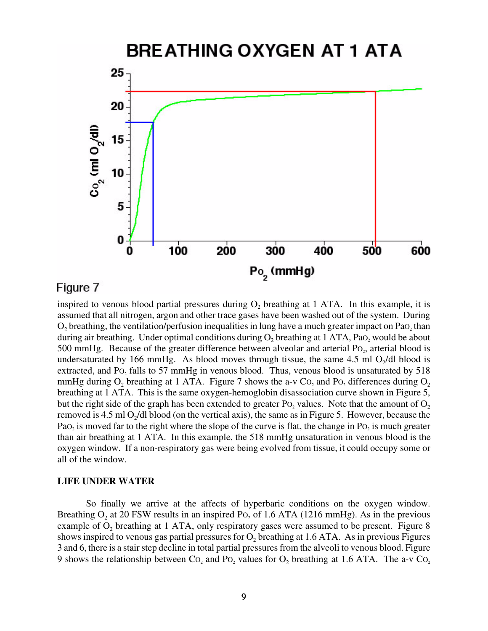# **BREATHING OXYGEN AT 1 ATA**



## Figure 7

inspired to venous blood partial pressures during  $O<sub>2</sub>$  breathing at 1 ATA. In this example, it is assumed that all nitrogen, argon and other trace gases have been washed out of the system. During O<sub>2</sub> breathing, the ventilation/perfusion inequalities in lung have a much greater impact on PaO<sub>2</sub> than during air breathing. Under optimal conditions during  $O_2$  breathing at 1 ATA, Pa $O_2$  would be about 500 mmHg. Because of the greater difference between alveolar and arterial  $Po<sub>2</sub>$ , arterial blood is undersaturated by 166 mmHg. As blood moves through tissue, the same 4.5 ml  $O_2/dl$  blood is extracted, and Po<sub>2</sub> falls to 57 mmHg in venous blood. Thus, venous blood is unsaturated by 518 mmHg during  $O_2$  breathing at 1 ATA. Figure 7 shows the a-v Co, and Po, differences during  $O_2$ breathing at 1 ATA. This is the same oxygen-hemoglobin disassociation curve shown in Figure 5, but the right side of the graph has been extended to greater  $P_0$  values. Note that the amount of  $O_2$ removed is 4.5 ml  $O_2/dl$  blood (on the vertical axis), the same as in Figure 5. However, because the PaO<sub>2</sub> is moved far to the right where the slope of the curve is flat, the change in PO<sub>2</sub> is much greater than air breathing at 1 ATA. In this example, the 518 mmHg unsaturation in venous blood is the oxygen window. If a non-respiratory gas were being evolved from tissue, it could occupy some or all of the window.

### **LIFE UNDER WATER**

So finally we arrive at the affects of hyperbaric conditions on the oxygen window. Breathing  $O_2$  at 20 FSW results in an inspired P $O_2$  of 1.6 ATA (1216 mmHg). As in the previous example of  $O<sub>2</sub>$  breathing at 1 ATA, only respiratory gases were assumed to be present. Figure 8 shows inspired to venous gas partial pressures for  $O_2$  breathing at 1.6 ATA. As in previous Figures 3 and 6, there is a stair step decline in total partial pressures from the alveoli to venous blood. Figure 9 shows the relationship between  $Co_2$  and  $Po_2$  values for  $O_2$  breathing at 1.6 ATA. The a-v  $Co_2$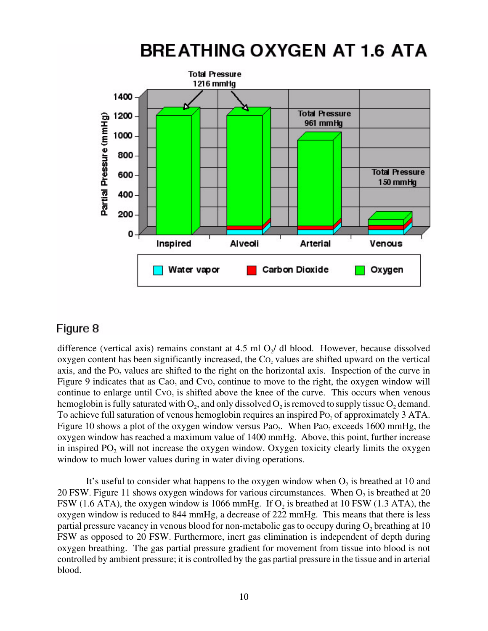### **Total Pressure** 1216 mmHq 1400 **Total Pressure** 1200 Partial Pressure (mmHg) 961 mmHg 1000 800 **Total Pressure** 600 150 mmHg 400 200 0 Inspired Alveoli **Arterial** Venous Water vapor Carbon Dioxide Oxygen

# **BREATHING OXYGEN AT 1.6 ATA**

# Figure 8

difference (vertical axis) remains constant at 4.5 ml  $O_2$  dl blood. However, because dissolved oxygen content has been significantly increased, the  $Co<sub>2</sub>$  values are shifted upward on the vertical axis, and the  $PO<sub>2</sub>$  values are shifted to the right on the horizontal axis. Inspection of the curve in Figure 9 indicates that as  $CaO<sub>2</sub>$  and  $CuO<sub>2</sub>$  continue to move to the right, the oxygen window will continue to enlarge until  $Cvo<sub>2</sub>$  is shifted above the knee of the curve. This occurs when venous hemoglobin is fully saturated with  $O_2$ , and only dissolved  $O_2$  is removed to supply tissue  $O_2$  demand. To achieve full saturation of venous hemoglobin requires an inspired  $Po_2$  of approximately 3 ATA. Figure 10 shows a plot of the oxygen window versus PaO<sub>2</sub>. When PaO<sub>2</sub> exceeds 1600 mmHg, the oxygen window has reached a maximum value of 1400 mmHg. Above, this point, further increase in inspired  $PO_2$  will not increase the oxygen window. Oxygen toxicity clearly limits the oxygen window to much lower values during in water diving operations.

It's useful to consider what happens to the oxygen window when  $O_2$  is breathed at 10 and 20 FSW. Figure 11 shows oxygen windows for various circumstances. When  $O<sub>2</sub>$  is breathed at 20 FSW (1.6 ATA), the oxygen window is 1066 mmHg. If  $O<sub>2</sub>$  is breathed at 10 FSW (1.3 ATA), the oxygen window is reduced to 844 mmHg, a decrease of 222 mmHg. This means that there is less partial pressure vacancy in venous blood for non-metabolic gas to occupy during  $O<sub>2</sub>$  breathing at 10 FSW as opposed to 20 FSW. Furthermore, inert gas elimination is independent of depth during oxygen breathing. The gas partial pressure gradient for movement from tissue into blood is not controlled by ambient pressure; it is controlled by the gas partial pressure in the tissue and in arterial blood.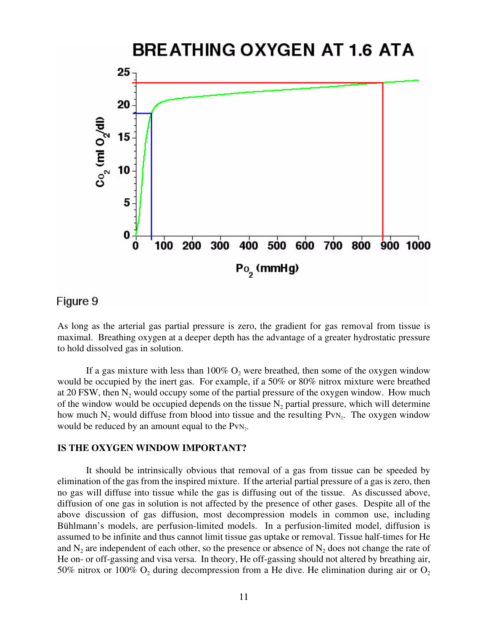# BREATHING OXYGEN AT 1.6 ATA



### Figure 9

As long as the arterial gas partial pressure is zero, the gradient for gas removal from tissue is maximal. Breathing oxygen at a deeper depth has the advantage of a greater hydrostatic pressure to hold dissolved gas in solution.

If a gas mixture with less than  $100\%$  O<sub>2</sub> were breathed, then some of the oxygen window would be occupied by the inert gas. For example, if a 50% or 80% nitrox mixture were breathed at 20 FSW, then  $N_2$  would occupy some of the partial pressure of the oxygen window. How much of the window would be occupied depends on the tissue  $N<sub>2</sub>$  partial pressure, which will determine how much  $N_2$  would diffuse from blood into tissue and the resulting PvN<sub>2</sub>. The oxygen window would be reduced by an amount equal to the  $PvN_2$ .

#### **IS THE OXYGEN WINDOW IMPORTANT?**

It should be intrinsically obvious that removal of a gas from tissue can be speeded by elimination of the gas from the inspired mixture. If the arterial partial pressure of a gas is zero, then no gas will diffuse into tissue while the gas is diffusing out of the tissue. As discussed above, diffusion of one gas in solution is not affected by the presence of other gases. Despite all of the above discussion of gas diffusion, most decompression models in common use, including Bühlmann's models, are perfusion-limited models. In a perfusion-limited model, diffusion is assumed to be infinite and thus cannot limit tissue gas uptake or removal. Tissue half-times for He and  $N_2$  are independent of each other, so the presence or absence of  $N_2$  does not change the rate of He on- or off-gassing and visa versa. In theory, He off-gassing should not altered by breathing air, 50% nitrox or 100%  $O_2$  during decompression from a He dive. He elimination during air or  $O_2$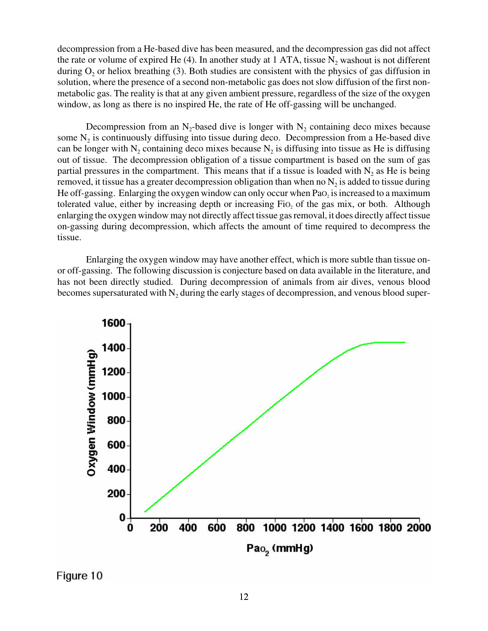decompression from a He-based dive has been measured, and the decompression gas did not affect the rate or volume of expired He  $(4)$ . In another study at 1 ATA, tissue N<sub>2</sub> washout is not different during  $O_2$  or heliox breathing (3). Both studies are consistent with the physics of gas diffusion in solution, where the presence of a second non-metabolic gas does not slow diffusion of the first nonmetabolic gas. The reality is that at any given ambient pressure, regardless of the size of the oxygen window, as long as there is no inspired He, the rate of He off-gassing will be unchanged.

Decompression from an  $N_2$ -based dive is longer with  $N_2$  containing deco mixes because some  $N<sub>2</sub>$  is continuously diffusing into tissue during deco. Decompression from a He-based dive can be longer with  $N_2$  containing deco mixes because  $N_2$  is diffusing into tissue as He is diffusing out of tissue. The decompression obligation of a tissue compartment is based on the sum of gas partial pressures in the compartment. This means that if a tissue is loaded with  $N_2$  as He is being removed, it tissue has a greater decompression obligation than when no  $N_2$  is added to tissue during He off-gassing. Enlarging the oxygen window can only occur when  $PaO<sub>2</sub>$  is increased to a maximum tolerated value, either by increasing depth or increasing Fi $o<sub>2</sub>$  of the gas mix, or both. Although enlarging the oxygen window may not directly affect tissue gas removal, it does directly affect tissue on-gassing during decompression, which affects the amount of time required to decompress the tissue.

Enlarging the oxygen window may have another effect, which is more subtle than tissue onor off-gassing. The following discussion is conjecture based on data available in the literature, and has not been directly studied. During decompression of animals from air dives, venous blood becomes supersaturated with  $N_2$  during the early stages of decompression, and venous blood super-



Figure 10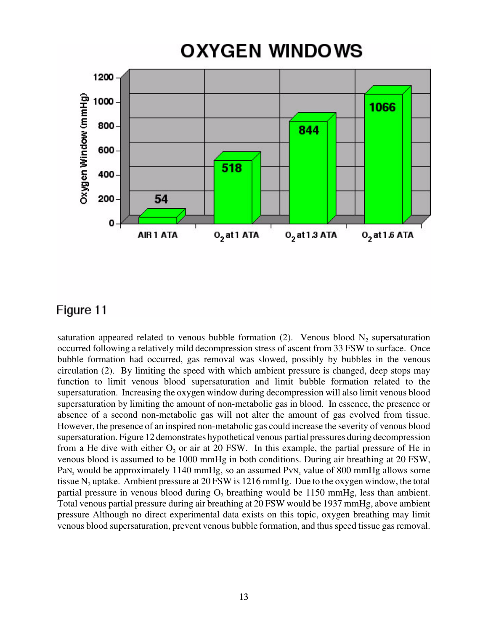# **OXYGEN WINDOWS**



# Figure 11

saturation appeared related to venous bubble formation (2). Venous blood  $N_2$  supersaturation occurred following a relatively mild decompression stress of ascent from 33 FSW to surface. Once bubble formation had occurred, gas removal was slowed, possibly by bubbles in the venous circulation (2). By limiting the speed with which ambient pressure is changed, deep stops may function to limit venous blood supersaturation and limit bubble formation related to the supersaturation. Increasing the oxygen window during decompression will also limit venous blood supersaturation by limiting the amount of non-metabolic gas in blood. In essence, the presence or absence of a second non-metabolic gas will not alter the amount of gas evolved from tissue. However, the presence of an inspired non-metabolic gas could increase the severity of venous blood supersaturation. Figure 12 demonstrates hypothetical venous partial pressures during decompression from a He dive with either  $O_2$  or air at 20 FSW. In this example, the partial pressure of He in venous blood is assumed to be 1000 mmHg in both conditions. During air breathing at 20 FSW, PaN<sub>2</sub> would be approximately 1140 mmHg, so an assumed PvN<sub>2</sub> value of 800 mmHg allows some tissue  $N_2$  uptake. Ambient pressure at 20 FSW is 1216 mmHg. Due to the oxygen window, the total partial pressure in venous blood during  $O<sub>2</sub>$  breathing would be 1150 mmHg, less than ambient. Total venous partial pressure during air breathing at 20 FSW would be 1937 mmHg, above ambient pressure Although no direct experimental data exists on this topic, oxygen breathing may limit venous blood supersaturation, prevent venous bubble formation, and thus speed tissue gas removal.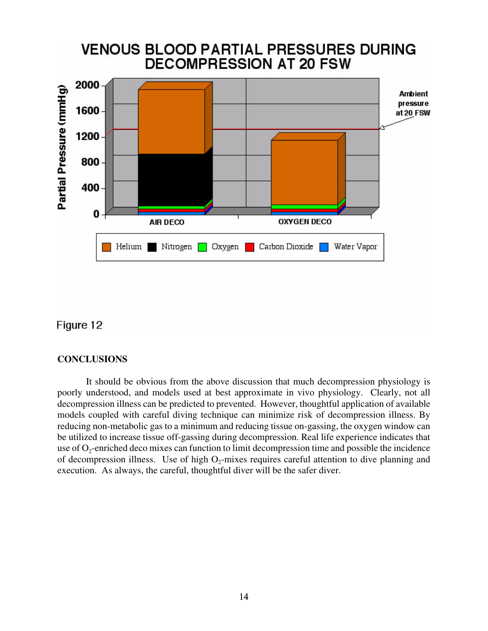

## Figure 12

### **CONCLUSIONS**

It should be obvious from the above discussion that much decompression physiology is poorly understood, and models used at best approximate in vivo physiology. Clearly, not all decompression illness can be predicted to prevented. However, thoughtful application of available models coupled with careful diving technique can minimize risk of decompression illness. By reducing non-metabolic gas to a minimum and reducing tissue on-gassing, the oxygen window can be utilized to increase tissue off-gassing during decompression. Real life experience indicates that use of  $O_2$ -enriched deco mixes can function to limit decompression time and possible the incidence of decompression illness. Use of high  $O_2$ -mixes requires careful attention to dive planning and execution. As always, the careful, thoughtful diver will be the safer diver.